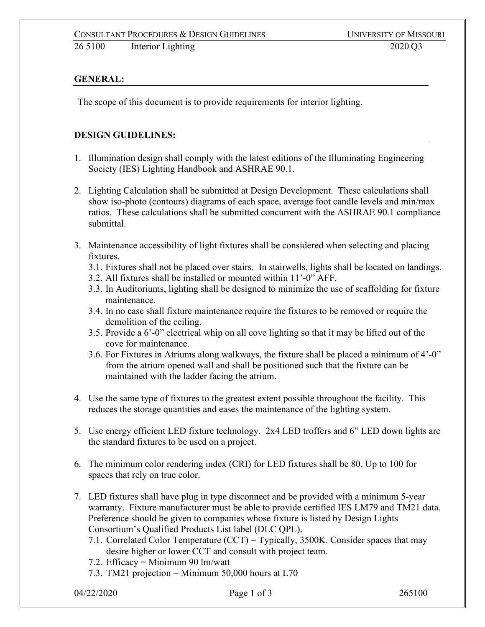## **GENERAL:**

The scope of this document is to provide requirements for interior lighting.

## **DESIGN GUIDELINES:**

- 1. Illumination design shall comply with the latest editions of the Illuminating Engineering Society (IES) Lighting Handbook and ASHRAE 90.1.
- 2. Lighting Calculation shall be submitted at Design Development. These calculations shall show iso-photo (contours) diagrams of each space, average foot candle levels and min/max ratios. These calculations shall be submitted concurrent with the ASHRAE 90.1 compliance submittal.
- 3. Maintenance accessibility of light fixtures shall be considered when selecting and placing fixtures.
	- 3.1. Fixtures shall not be placed over stairs. In stairwells, lights shall be located on landings.
	- 3.2. All fixtures shall be installed or mounted within 11'-0" AFF.
	- 3.3. In Auditoriums, lighting shall be designed to minimize the use of scaffolding for fixture maintenance.
	- 3.4. In no case shall fixture maintenance require the fixtures to be removed or require the demolition of the ceiling.
	- 3.5. Provide a 6'-0" electrical whip on all cove lighting so that it may be lifted out of the cove for maintenance.
	- 3.6. For Fixtures in Atriums along walkways, the fixture shall be placed a minimum of 4'-0" from the atrium opened wall and shall be positioned such that the fixture can be maintained with the ladder facing the atrium.
- 4. Use the same type of fixtures to the greatest extent possible throughout the facility. This reduces the storage quantities and eases the maintenance of the lighting system.
- 5. Use energy efficient LED fixture technology. 2x4 LED troffers and 6" LED down lights are the standard fixtures to be used on a project.
- 6. The minimum color rendering index (CRI) for LED fixtures shall be 80. Up to 100 for spaces that rely on true color.
- 7. LED fixtures shall have plug in type disconnect and be provided with a minimum 5-year warranty. Fixture manufacturer must be able to provide certified IES LM79 and TM21 data. Preference should be given to companies whose fixture is listed by Design Lights Consortium's Qualified Products List label (DLC QPL).
	- 7.1. Correlated Color Temperature (CCT) = Typically, 3500K. Consider spaces that may desire higher or lower CCT and consult with project team.
	- 7.2. Efficacy = Minimum 90 lm/watt
	- 7.3. TM21 projection = Minimum 50,000 hours at L70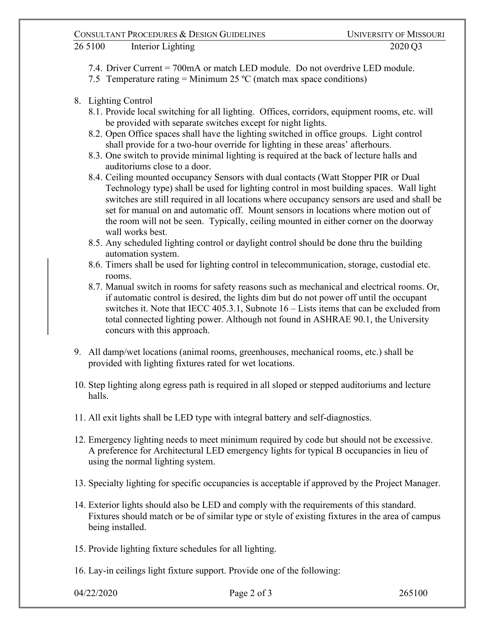## CONSULTANT PROCEDURES & DESIGN GUIDELINES UNIVERSITY OF MISSOURI 26 5100 Interior Lighting 2020 Q3

- 7.4. Driver Current = 700mA or match LED module. Do not overdrive LED module.
- 7.5 Temperature rating  $=$  Minimum 25 °C (match max space conditions)
- 8. Lighting Control
	- 8.1. Provide local switching for all lighting. Offices, corridors, equipment rooms, etc. will be provided with separate switches except for night lights.
	- 8.2. Open Office spaces shall have the lighting switched in office groups. Light control shall provide for a two-hour override for lighting in these areas' afterhours.
	- 8.3. One switch to provide minimal lighting is required at the back of lecture halls and auditoriums close to a door.
	- 8.4. Ceiling mounted occupancy Sensors with dual contacts (Watt Stopper PIR or Dual Technology type) shall be used for lighting control in most building spaces. Wall light switches are still required in all locations where occupancy sensors are used and shall be set for manual on and automatic off. Mount sensors in locations where motion out of the room will not be seen. Typically, ceiling mounted in either corner on the doorway wall works best.
	- 8.5. Any scheduled lighting control or daylight control should be done thru the building automation system.
	- 8.6. Timers shall be used for lighting control in telecommunication, storage, custodial etc. rooms.
	- 8.7. Manual switch in rooms for safety reasons such as mechanical and electrical rooms. Or, if automatic control is desired, the lights dim but do not power off until the occupant switches it. Note that IECC 405.3.1, Subnote 16 – Lists items that can be excluded from total connected lighting power. Although not found in ASHRAE 90.1, the University concurs with this approach.
- 9. All damp/wet locations (animal rooms, greenhouses, mechanical rooms, etc.) shall be provided with lighting fixtures rated for wet locations.
- 10. Step lighting along egress path is required in all sloped or stepped auditoriums and lecture halls.
- 11. All exit lights shall be LED type with integral battery and self-diagnostics.
- 12. Emergency lighting needs to meet minimum required by code but should not be excessive. A preference for Architectural LED emergency lights for typical B occupancies in lieu of using the normal lighting system.
- 13. Specialty lighting for specific occupancies is acceptable if approved by the Project Manager.
- 14. Exterior lights should also be LED and comply with the requirements of this standard. Fixtures should match or be of similar type or style of existing fixtures in the area of campus being installed.
- 15. Provide lighting fixture schedules for all lighting.
- 16. Lay-in ceilings light fixture support. Provide one of the following: